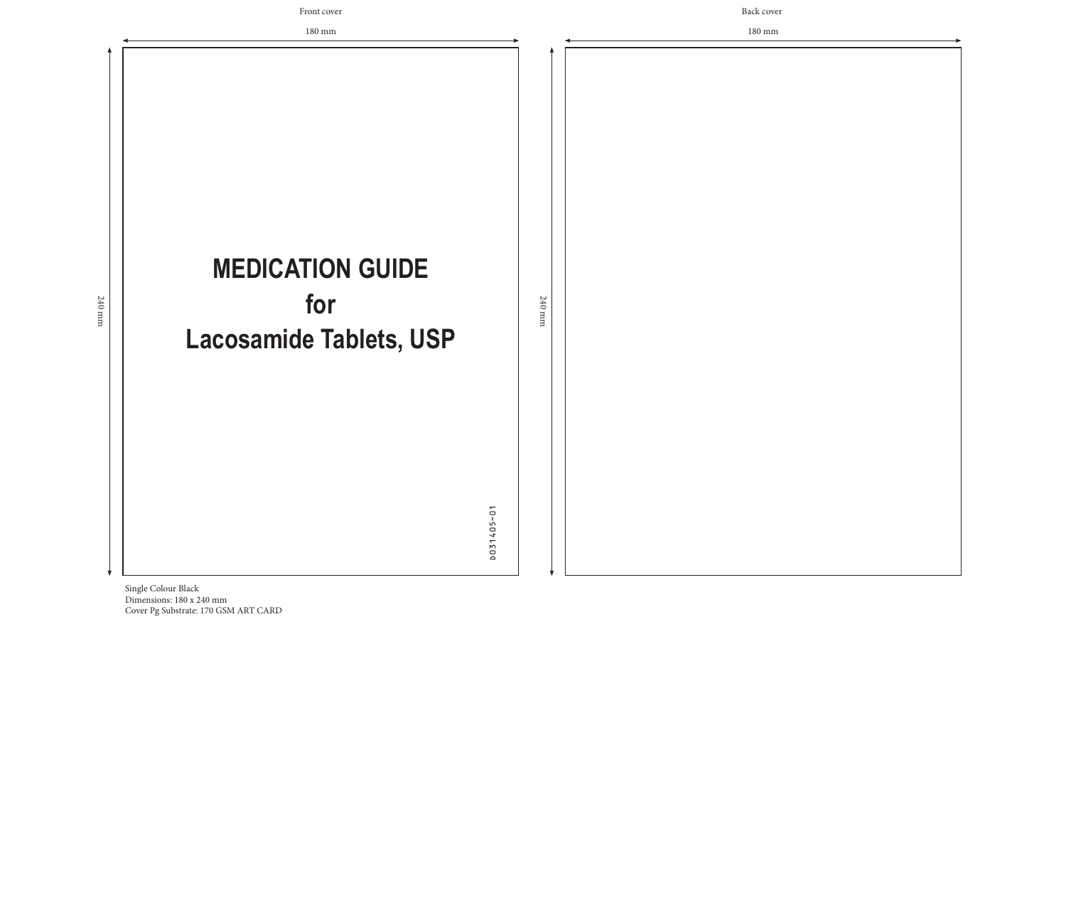Dimensions: 180 x 240 mm Cover Pg Substrate: 170 GSM ART CARD



180 mm

180 mm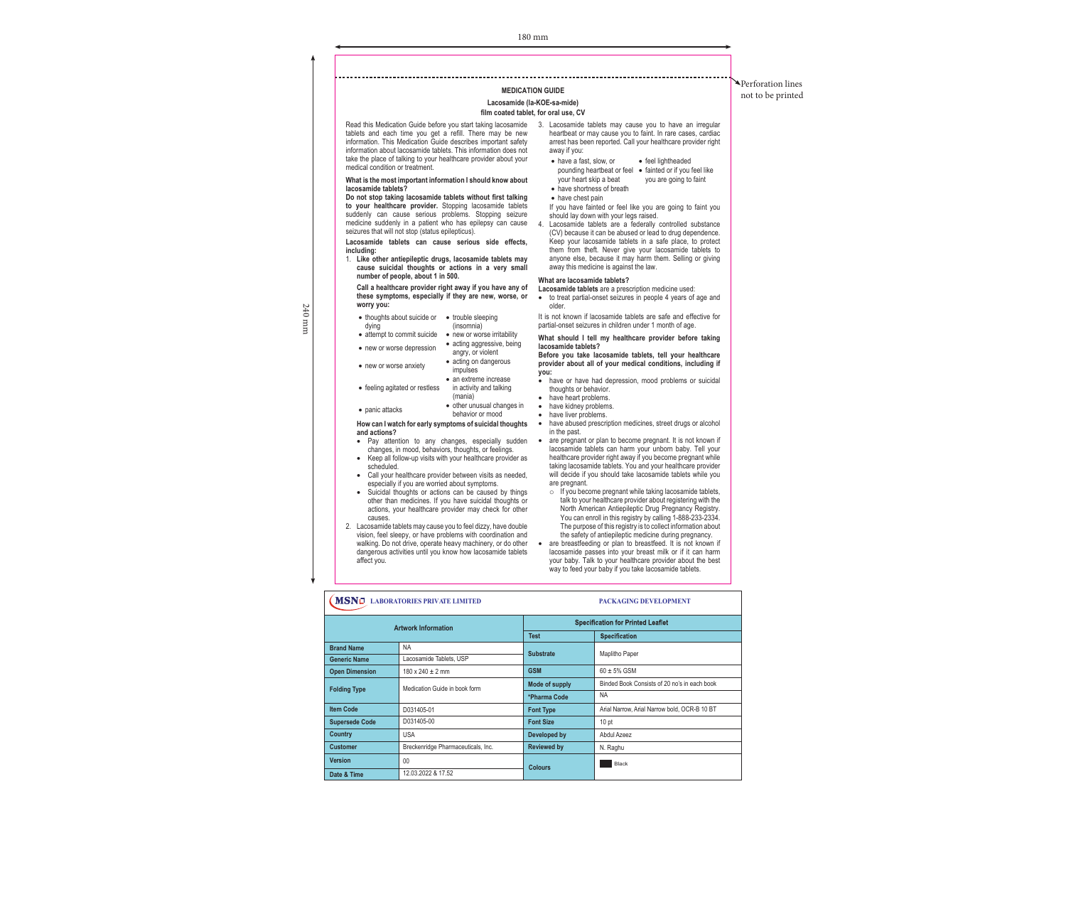#### **Lacosamide (la-KOE-sa-mide)**

### **film coated tablet, for oral use, CV**

| <b>Artwork Information</b> |                                    | <b>Specification for Printed Leaflet</b> |                                       |  |
|----------------------------|------------------------------------|------------------------------------------|---------------------------------------|--|
|                            |                                    | Test                                     | <b>Specification</b>                  |  |
| <b>Brand Name</b>          | NA.                                | <b>Substrate</b>                         | Maplitho Paper                        |  |
| <b>Generic Name</b>        | Lacosamide Tablets, USP            |                                          |                                       |  |
| <b>Open Dimension</b>      | $180 \times 240 \pm 2$ mm          | <b>GSM</b>                               | $60 + 5%$ GSM                         |  |
| <b>Folding Type</b>        | Medication Guide in book form      | Mode of supply                           | Binded Book Consists of 20 no's in ea |  |
|                            |                                    | *Pharma Code                             | <b>NA</b>                             |  |
| <b>Item Code</b>           | D031405-01                         | <b>Font Type</b>                         | Arial Narrow, Arial Narrow bold, OCR- |  |
| <b>Supersede Code</b>      | D031405-00                         | <b>Font Size</b>                         | 10 <sub>pt</sub>                      |  |
| Country                    | <b>USA</b>                         | Developed by                             | Abdul Azeez                           |  |
| <b>Customer</b>            | Breckenridge Pharmaceuticals, Inc. | <b>Reviewed by</b>                       | N. Raghu                              |  |
| <b>Version</b>             | 00                                 | <b>Colours</b>                           | Black                                 |  |
| Date & Time                | 12.03.2022 & 17.52                 |                                          |                                       |  |

240 240 mm  $\,\rm{mm}$ 

ich book  $-B$  10 BT

Perforation lines **NEDICATION GUIDE MEDICATION** GUIDE

# heartbeat or may cause you to faint. In rare cases, cardiac arrest has been reported. Call your healthcare provider right away if you: • have a fast, slow, or

It is not known if lacosamide tablets are safe and effective for partial-onset seizures in children under 1 month of age.

- feel lightheaded
- pounding heartbeat or feel fainted or if you feel like your heart skip a beat • have shortness of breath you are going to faint
- have chest pain
- If you have fainted or feel like you are going to faint you should lay down with your legs raised. 4. Lacosamide tablets are a federally controlled substance
- (CV) because it can be abused or lead to drug dependence. Keep your lacosamide tablets in a safe place, to protect them from theft. Never give your lacosamide tablets to anyone else, because it may harm them. Selling or giving away this medicine is against the law.

#### **What are lacosamide tablets?**

- have or have had depression, mood problems or suicidal thoughts or behavior.
- have heart problems.
- have kidney problems. • have liver problems.
- have abused prescription medicines, street drugs or alcohol in the past.
	- are pregnant or plan to become pregnant. It is not known if lacosamide tablets can harm your unborn baby. Tell your healthcare provider right away if you become pregnant while taking lacosamide tablets. You and your healthcare provider will decide if you should take lacosamide tablets while you are pregnant.
	- $\circ$  If you become pregnant while taking lacosamide tablets, talk to your healthcare provider about registering with the North American Antiepileptic Drug Pregnancy Registry. You can enroll in this registry by calling 1-888-233-2334. The purpose of this registry is to collect information about
- the safety of antiepileptic medicine during pregnancy. • are breastfeeding or plan to breastfeed. It is not known if lacosamide passes into your breast milk or if it can harm your baby. Talk to your healthcare provider about the best way to feed your baby if you take lacosamide tablets.

# **CONSIDERED ASSESSED ASSESSED ASSESSED ASSESSED AND REPORT OF A LABORATORIES PRIVATE LIMITED ASSESSED ASSESSED AND PACKAGING DEVELOPMENT**

**Lacosamide tablets** are a prescription medicine used: • to treat partial-onset seizures in people 4 years of age and older.

Read this Medication Guide before you start taking lacosamide 3. Lacosamide tablets may cause you to have an irregular tablets and each time you get a refill. There may be new information. This Medication Guide describes important safety information about lacosamide tablets. This information does not take the place of talking to your healthcare provider about your medical condition or treatment.

> **What should I tell my healthcare provider before taking lacosamide tablets?**

> **Before you take lacosamide tablets, tell your healthcare provider about all of your medical conditions, including if you:**

- Pay attention to any changes, especially sudden changes, in mood, behaviors, thoughts, or feelings. • Keep all follow-up visits with your healthcare provider as
- scheduled. • Call your healthcare provider between visits as needed,
- especially if you are worried about symptoms. • Suicidal thoughts or actions can be caused by things other than medicines. If you have suicidal thoughts or actions, your healthcare provider may check for other
- causes. 2. Lacosamide tablets may cause you to feel dizzy, have double vision, feel sleepy, or have problems with coordination and walking. Do not drive, operate heavy machinery, or do other dangerous activities until you know how lacosamide tablets affect you.

**What is the most important information I should know about lacosamide tablets?**

**Do not stop taking lacosamide tablets without first talking to your healthcare provider.** Stopping lacosamide tablets suddenly can cause serious problems. Stopping seizure medicine suddenly in a patient who has epilepsy can cause seizures that will not stop (status epilepticus).

**Lacosamide tablets can cause serious side effects, including:**

1. **Like other antiepileptic drugs, lacosamide tablets may cause suicidal thoughts or actions in a very small number of people, about 1 in 500.**

**Call a healthcare provider right away if you have any of these symptoms, especially if they are new, worse, or worry you:**

• thoughts about suicide or • trouble sleeping

dying

- (insomnia)
- attempt to commit suicide new or worse irritability
- new or worse depression acting aggressive, being angry, or violent
- new or worse anxiety acting on dangerous
	- impulses • an extreme increase
- feeling agitated or restless in activity and talking (mania)
- panic attacks other unusual changes in behavior or mood

**How can I watch for early symptoms of suicidal thoughts and actions?**